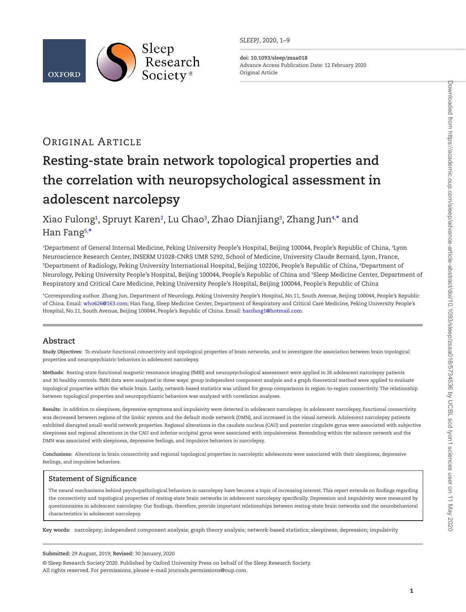

*SLEEPJ*, 2020, 1–9

**doi: 10.1093/sleep/zsaa018** Advance Access Publication Date: 12 February 2020 Original Article

# Original Article

# **Resting-state brain network topological properties and the correlation with neuropsychological assessment in adolescent narcolepsy**

Xiao Fulong<sup>1</sup>, Spruyt Karen<sup>2</sup>, Lu Chao<sup>[3](#page-0-2)</sup>, Zhao Dianjiang<sup>3</sup>, Zhang Jun<sup>4,\*</sup> and Han Fang[5](#page-0-5), [\\*](#page-0-4)

<span id="page-0-3"></span><span id="page-0-2"></span><span id="page-0-1"></span><span id="page-0-0"></span>1 Department of General Internal Medicine, Peking University People's Hospital, Beijing 100044, People's Republic of China, 2 Lyon Neuroscience Research Center, INSERM U1028-CNRS UMR 5292, School of Medicine, University Claude Bernard, Lyon, France, 3 Department of Radiology, Peking University International Hospital, Beijing 102206, People's Republic of China, 4 Department of Neurology, Peking University People's Hospital, Beijing 100044, People's Republic of China and <sup>5</sup>Sleep Medicine Center, Department of Respiratory and Critical Care Medicine, Peking University People's Hospital, Beijing 100044, People's Republic of China

<span id="page-0-5"></span><span id="page-0-4"></span>\*Corresponding author. Zhang Jun, Department of Neurology, Peking University People's Hospital, No.11, South Avenue, Beijing 100044, People's Republic of China. Email: [who626@163.com;](mailto:who626@163.com?subject=) Han Fang, Sleep Medicine Center, Department of Respiratory and Critical Care Medicine, Peking University People's Hospital, No.11, South Avenue, Beijing 100044, People's Republic of China. Email: [hanfang1@hotmail.com](mailto:hanfang1@hotmail.com?subject=).

# **Abstract**

**Study Objectives:** To evaluate functional connectivity and topological properties of brain networks, and to investigate the association between brain topological properties and neuropsychiatric behaviors in adolescent narcolepsy.

**Methods:** Resting-state functional magnetic resonance imaging (fMRI) and neuropsychological assessment were applied in 26 adolescent narcolepsy patients and 30 healthy controls. fMRI data were analyzed in three ways: group independent component analysis and a graph theoretical method were applied to evaluate topological properties within the whole brain. Lastly, network-based statistics was utilized for group comparisons in region-to-region connectivity. The relationship between topological properties and neuropsychiatric behaviors was analyzed with correlation analyses.

**Results:** In addition to sleepiness, depressive symptoms and impulsivity were detected in adolescent narcolepsy. In adolescent narcolepsy, functional connectivity was decreased between regions of the limbic system and the default mode network (DMN), and increased in the visual network. Adolescent narcolepsy patients exhibited disrupted small-world network properties. Regional alterations in the caudate nucleus (CAU) and posterior cingulate gyrus were associated with subjective sleepiness and regional alterations in the CAU and inferior occipital gyrus were associated with impulsiveness. Remodeling within the salience network and the DMN was associated with sleepiness, depressive feelings, and impulsive behaviors in narcolepsy.

**Conclusions:** Alterations in brain connectivity and regional topological properties in narcoleptic adolescents were associated with their sleepiness, depressive feelings, and impulsive behaviors.

# **Statement of Significance**

The neural mechanisms behind psychopathological behaviors in narcolepsy have become a topic of increasing interest. This report extends on findings regarding the connectivity and topological properties of resting-state brain networks in adolescent narcolepsy specifically. Depression and impulsivity were measured by questionnaires in adolescent narcolepsy. Our findings, therefore, provide important relationships between resting-state brain networks and the neurobehavioral characteristics in adolescent narcolepsy.

**Key words:** narcolepsy; independent component analysis; graph theory analysis; network-based statistics; sleepiness; depression; impulsivity

#### **Submitted:** 29 August, 2019; **Revised:** 30 January, 2020

© Sleep Research Society 2020. Published by Oxford University Press on behalf of the Sleep Research Society. All rights reserved. For permissions, please e-mail journals.permissions@oup.com.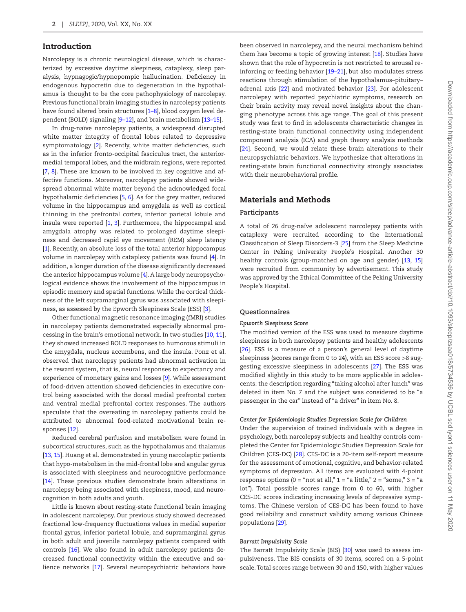## Introduction

Narcolepsy is a chronic neurological disease, which is characterized by excessive daytime sleepiness, cataplexy, sleep paralysis, hypnagogic/hypnopompic hallucination. Deficiency in endogenous hypocretin due to degeneration in the hypothalamus is thought to be the core pathophysiology of narcolepsy. Previous functional brain imaging studies in narcolepsy patients have found altered brain structures [1–8], blood oxygen level dependent (BOLD) signaling [9–12], and brain metabolism [13–15].

In drug-naïve narcolepsy patients, a widespread disrupted white matter integrity of frontal lobes related to depressive symptomatology [\[2\]](#page-7-0). Recently, white matter deficiencies, such as in the inferior fronto-occipital fasciculus tract, the anteriormedial temporal lobes, and the midbrain regions, were reported [[7](#page-7-1), [8\]](#page-7-2). These are known to be involved in key cognitive and affective functions. Moreover, narcolepsy patients showed widespread abnormal white matter beyond the acknowledged focal hypothalamic deficiencies [[5,](#page-7-3) [6\]](#page-7-4). As for the grey matter, reduced volume in the hippocampus and amygdala as well as cortical thinning in the prefrontal cortex, inferior parietal lobule and insula were reported [\[1,](#page-7-5) [3](#page-7-6)]. Furthermore, the hippocampal and amygdala atrophy was related to prolonged daytime sleepiness and decreased rapid eye movement (REM) sleep latency [[1](#page-7-5)]. Recently, an absolute loss of the total anterior hippocampus volume in narcolepsy with cataplexy patients was found [\[4\]](#page-7-7). In addition, a longer duration of the disease significantly decreased the anterior hippocampus volume [[4\]](#page-7-7). A large body neuropsychological evidence shows the involvement of the hippocampus in episodic memory and spatial functions. While the cortical thickness of the left supramarginal gyrus was associated with sleepiness, as assessed by the Epworth Sleepiness Scale (ESS) [\[3](#page-7-6)].

Other functional magnetic resonance imaging (fMRI) studies in narcolepsy patients demonstrated especially abnormal processing in the brain's emotional network. In two studies [[10](#page-7-8), [11\]](#page-7-9), they showed increased BOLD responses to humorous stimuli in the amygdala, nucleus accumbens, and the insula. Ponz et al. observed that narcolepsy patients had abnormal activation in the reward system, that is, neural responses to expectancy and experience of monetary gains and losses [[9\]](#page-7-10). While assessment of food-driven attention showed deficiencies in executive control being associated with the dorsal medial prefrontal cortex and ventral medial prefrontal cortex responses. The authors speculate that the overeating in narcolepsy patients could be attributed to abnormal food-related motivational brain responses [[12](#page-7-11)].

Reduced cerebral perfusion and metabolism were found in subcortical structures, such as the hypothalamus and thalamus [[13](#page-7-12), [15](#page-7-13)]. Huang et al. demonstrated in young narcoleptic patients that hypo-metabolism in the mid-frontal lobe and angular gyrus is associated with sleepiness and neurocognitive performance [[14](#page-7-14)]. These previous studies demonstrate brain alterations in narcolepsy being associated with sleepiness, mood, and neurocognition in both adults and youth.

Little is known about resting-state functional brain imaging in adolescent narcolepsy. Our previous study showed decreased fractional low-frequency fluctuations values in medial superior frontal gyrus, inferior parietal lobule, and supramarginal gyrus in both adult and juvenile narcolepsy patients compared with controls [[16\]](#page-7-15). We also found in adult narcolepsy patients decreased functional connectivity within the executive and salience networks [\[17\]](#page-7-16). Several neuropsychiatric behaviors have

been observed in narcolepsy, and the neural mechanism behind them has become a topic of growing interest [[18\]](#page-7-17). Studies have shown that the role of hypocretin is not restricted to arousal reinforcing or feeding behavior [19–21], but also modulates stress reactions through stimulation of the hypothalamus–pituitary– adrenal axis [\[22](#page-7-18)] and motivated behavior [[23](#page-7-19)]. For adolescent narcolepsy with reported psychiatric symptoms, research on their brain activity may reveal novel insights about the changing phenotype across this age range. The goal of this present study was first to find in adolescents characteristic changes in resting-state brain functional connectivity using independent component analysis (ICA) and graph theory analysis methods [\[24](#page-7-20)]. Second, we would relate these brain alterations to their neuropsychiatric behaviors. We hypothesize that alterations in resting-state brain functional connectivity strongly associates with their neurobehavioral profile.

# Materials and Methods

#### **Participants**

A total of 26 drug-naïve adolescent narcolepsy patients with cataplexy were recruited according to the International Classification of Sleep Disorders-3 [\[25\]](#page-8-0) from the Sleep Medicine Center in Peking University People's Hospital. Another 30 healthy controls (group-matched on age and gender) [\[13,](#page-7-12) [15](#page-7-13)] were recruited from community by advertisement. This study was approved by the Ethical Committee of the Peking University People's Hospital.

#### **Questionnaires**

#### *Epworth Sleepiness Score*

The modified version of the ESS was used to measure daytime sleepiness in both narcolepsy patients and healthy adolescents [\[26](#page-8-1)]. ESS is a measure of a person's general level of daytime sleepiness (scores range from 0 to 24), with an ESS score >8 suggesting excessive sleepiness in adolescents [[27\]](#page-8-2). The ESS was modified slightly in this study to be more applicable in adolescents: the description regarding "taking alcohol after lunch" was deleted in item No. 7 and the subject was considered to be "a passenger in the car" instead of "a driver" in item No. 8.

#### *Center for Epidemiologic Studies Depression Scale for Children*

Under the supervision of trained individuals with a degree in psychology, both narcolepsy subjects and healthy controls completed the Center for Epidemiologic Studies Depression Scale for Children (CES-DC) [[28](#page-8-3)]. CES-DC is a 20-item self-report measure for the assessment of emotional, cognitive, and behavior-related symptoms of depression. All items are evaluated with 4-point response options (0 = "not at all,"  $1 =$  "a little,"  $2 =$  "some,"  $3 =$  "a lot"). Total possible scores range from 0 to 60, with higher CES-DC scores indicating increasing levels of depressive symptoms. The Chinese version of CES-DC has been found to have good reliability and construct validity among various Chinese populations [\[29](#page-8-4)].

#### *Barratt Impulsivity Scale*

The Barratt Impulsivity Scale (BIS) [\[30\]](#page-8-5) was used to assess impulsiveness. The BIS consists of 30 items, scored on a 5-point scale. Total scores range between 30 and 150, with higher values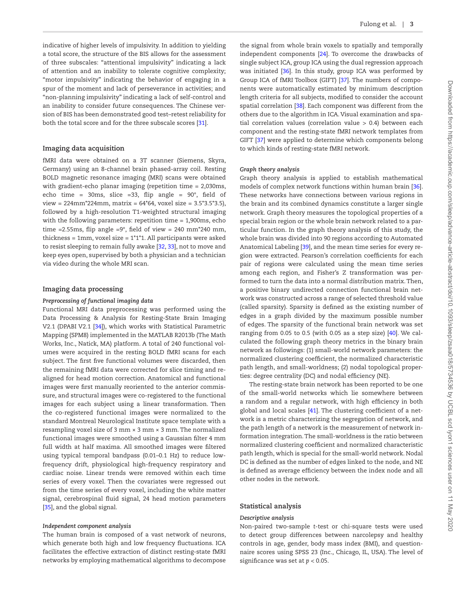Fulong et al. | **3**

indicative of higher levels of impulsivity. In addition to yielding a total score, the structure of the BIS allows for the assessment of three subscales: "attentional impulsivity" indicating a lack of attention and an inability to tolerate cognitive complexity; "motor impulsivity" indicating the behavior of engaging in a spur of the moment and lack of perseverance in activities; and "non-planning impulsivity" indicating a lack of self-control and an inability to consider future consequences. The Chinese version of BIS has been demonstrated good test–retest reliability for both the total score and for the three subscale scores [[31\]](#page-8-6).

#### **Imaging data acquisition**

fMRI data were obtained on a 3T scanner (Siemens, Skyra, Germany) using an 8-channel brain phased-array coil. Resting BOLD magnetic resonance imaging (MRI) scans were obtained with gradient-echo planar imaging (repetition time = 2,030ms, echo time =  $30\text{ms}$ , slice =  $33$ , flip angle =  $90^\circ$ , field of  $view = 224mm*224mm$ , matrix = 64\*64, voxel size = 3.5\*3.5\*3.5), followed by a high-resolution T1-weighted structural imaging with the following parameters: repetition time = 1,900ms, echo time =2.55ms, flip angle =9°, field of view = 240  $mm*240$  mm, thickness = 1mm, voxel size =  $1*1*1$ . All participants were asked to resist sleeping to remain fully awake [\[32,](#page-8-7) [33\]](#page-8-8), not to move and keep eyes open, supervised by both a physician and a technician via video during the whole MRI scan.

#### **Imaging data processing**

#### *Preprocessing of functional imaging data*

Functional MRI data preprocessing was performed using the Data Processing & Analysis for Resting-State Brain Imaging V2.1 (DPABI V2.1 [\[34\]](#page-8-9)), which works with Statistical Parametric Mapping (SPM8) implemented in the MATLAB R2013b (The Math Works, Inc., Natick, MA) platform. A total of 240 functional volumes were acquired in the resting BOLD fMRI scans for each subject. The first five functional volumes were discarded, then the remaining fMRI data were corrected for slice timing and realigned for head motion correction. Anatomical and functional images were first manually reoriented to the anterior commissure, and structural images were co-registered to the functional images for each subject using a linear transformation. Then the co-registered functional images were normalized to the standard Montreal Neurological Institute space template with a resampling voxel size of 3 mm × 3 mm × 3 mm. The normalized functional images were smoothed using a Gaussian filter 4 mm full width at half maxima. All smoothed images were filtered using typical temporal bandpass (0.01–0.1 Hz) to reduce lowfrequency drift, physiological high-frequency respiratory and cardiac noise. Linear trends were removed within each time series of every voxel. Then the covariates were regressed out from the time series of every voxel, including the white matter signal, cerebrospinal fluid signal, 24 head motion parameters [[35](#page-8-10)], and the global signal.

#### *Independent component analysis*

The human brain is composed of a vast network of neurons, which generate both high and low frequency fluctuations. ICA facilitates the effective extraction of distinct resting-state fMRI networks by employing mathematical algorithms to decompose

the signal from whole brain voxels to spatially and temporally independent components [[24](#page-7-20)]. To overcome the drawbacks of single subject ICA, group ICA using the dual regression approach was initiated [[36\]](#page-8-11). In this study, group ICA was performed by Group ICA of fMRI Toolbox (GIFT) [[37\]](#page-8-12). The numbers of components were automatically estimated by minimum description length criteria for all subjects, modified to consider the account spatial correlation [[38\]](#page-8-13). Each component was different from the others due to the algorithm in ICA. Visual examination and spatial correlation values (correlation value > 0.4) between each component and the resting-state fMRI network templates from GIFT [[37](#page-8-12)] were applied to determine which components belong to which kinds of resting-state fMRI network.

#### *Graph theory analysis*

Graph theory analysis is applied to establish mathematical models of complex network functions within human brain [\[36\]](#page-8-11). These networks have connections between various regions in the brain and its combined dynamics constitute a larger single network. Graph theory measures the topological properties of a special brain region or the whole brain network related to a particular function. In the graph theory analysis of this study, the whole brain was divided into 90 regions according to Automated Anatomical Labeling [[39\]](#page-8-14), and the mean time series for every region were extracted. Pearson's correlation coefficients for each pair of regions were calculated using the mean time series among each region, and Fisher's Z transformation was performed to turn the data into a normal distribution matrix. Then, a positive binary undirected connection functional brain network was constructed across a range of selected threshold value (called sparsity). Sparsity is defined as the existing number of edges in a graph divided by the maximum possible number of edges. The sparsity of the functional brain network was set ranging from 0.05 to 0.5 (with 0.05 as a step size) [[40\]](#page-8-15). We calculated the following graph theory metrics in the binary brain network as followings: (1) small-world network parameters: the normalized clustering coefficient, the normalized characteristic path length, and small-worldness; (2) nodal topological properties: degree centrality (DC) and nodal efficiency (NE).

The resting-state brain network has been reported to be one of the small-world networks which lie somewhere between a random and a regular network, with high efficiency in both global and local scales [\[41](#page-8-16)]. The clustering coefficient of a network is a metric characterizing the segregation of network, and the path length of a network is the measurement of network information integration. The small-worldness is the ratio between normalized clustering coefficient and normalized characteristic path length, which is special for the small-world network. Nodal DC is defined as the number of edges linked to the node, and NE is defined as average efficiency between the index node and all other nodes in the network.

#### **Statistical analysis**

#### *Descriptive analysis*

Non-paired two-sample *t*-test or chi-square tests were used to detect group differences between narcolepsy and healthy controls in age, gender, body mass index (BMI), and questionnaire scores using SPSS 23 (Inc., Chicago, IL, USA). The level of significance was set at *p* < 0.05.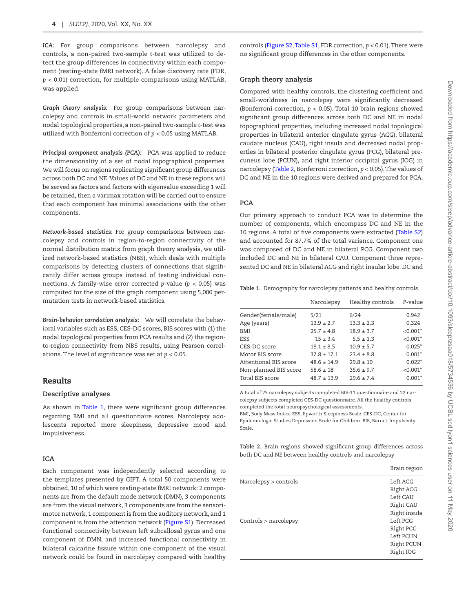*ICA:* For group comparisons between narcolepsy and controls, a non-paired two-sample *t*-test was utilized to detect the group differences in connectivity within each component (resting-state fMRI network). A false discovery rate (FDR, *p* < 0.01) correction, for multiple comparisons using MATLAB, was applied.

*Graph theory analysis:* For group comparisons between narcolepsy and controls in small-world network parameters and nodal topological properties, a non-paired two-sample *t*-test was utilized with Bonferroni correction of *p* < 0.05 using MATLAB.

*Principal component analysis (PCA):* PCA was applied to reduce the dimensionality of a set of nodal topographical properties. We will focus on regions replicating significant group differences across both DC and NE. Values of DC and NE in these regions will be served as factors and factors with eigenvalue exceeding 1 will be retained, then a varimax rotation will be carried out to ensure that each component has minimal associations with the other components.

*Network-based statistics:* For group comparisons between narcolepsy and controls in region-to-region connectivity of the normal distribution matrix from graph theory analysis, we utilized network-based statistics (NBS), which deals with multiple comparisons by detecting clusters of connections that significantly differ across groups instead of testing individual connections. A family-wise error corrected *p*-value (*p* < 0.05) was computed for the size of the graph component using 5,000 permutation tests in network-based statistics.

*Brain-behavior correlation analysis:* We will correlate the behavioral variables such as ESS, CES-DC scores, BIS scores with (1) the nodal topological properties from PCA results and (2) the regionto-region connectivity from NBS results, using Pearson correlations. The level of significance was set at *p* < 0.05.

# Results

#### **Descriptive analyses**

As shown in Table 1, there were significant group differences regarding BMI and all questionnaire scores. Narcolepsy adolescents reported more sleepiness, depressive mood and impulsiveness.

# **ICA**

Each component was independently selected according to the templates presented by GIFT. A total 50 components were obtained, 10 of which were resting-state fMRI network: 2 components are from the default mode network (DMN), 3 components are from the visual network, 3 components are from the sensorimotor network, 1 component is from the auditory network, and 1 component is from the attention network [\(Figure S1\)](http://academic.oup.com/sleep/article-lookup/doi/10.1093/sleep/zsaa018#supplementary-data). Decreased functional connectivity between left subcallosal gyrus and one component of DMN, and increased functional connectivity in bilateral calcarine fissure within one component of the visual network could be found in narcolepsy compared with healthy

controls ([Figure S2, Table S1,](http://academic.oup.com/sleep/article-lookup/doi/10.1093/sleep/zsaa018#supplementary-data) FDR correction, *p* < 0.01). There were no significant group differences in the other components.

# **Graph theory analysis**

Compared with healthy controls, the clustering coefficient and small-worldness in narcolepsy were significantly decreased (Bonferroni correction, *p* < 0.05). Total 10 brain regions showed significant group differences across both DC and NE in nodal topographical properties, including increased nodal topological properties in bilateral anterior cingulate gyrus (ACG), bilateral caudate nucleus (CAU), right insula and decreased nodal properties in bilateral posterior cingulate gyrus (PCG), bilateral precuneus lobe (PCUN), and right inferior occipital gyrus (IOG) in narcolepsy ([Table 2,](#page-3-1) Bonferroni correction, *p* < 0.05). The values of DC and NE in the 10 regions were derived and prepared for PCA.

# **PCA**

Our primary approach to conduct PCA was to determine the number of components, which encompass DC and NE in the 10 regions. A total of five components were extracted [\(Table S2](http://academic.oup.com/sleep/article-lookup/doi/10.1093/sleep/zsaa018#supplementary-data)) and accounted for 87.7% of the total variance. Component one was composed of DC and NE in bilateral PCG. Component two included DC and NE in bilateral CAU. Component three represented DC and NE in bilateral ACG and right insular lobe. DC and

<span id="page-3-0"></span>**Table 1.** Demography for narcolepsy patients and healthy controls

|                       | Narcolepsy      | Healthy controls | P-value                |
|-----------------------|-----------------|------------------|------------------------|
| Gender(female/male)   | 5/21            | 6/24             | 0.942                  |
| Age (years)           | $13.9 \pm 2.7$  | $13.3 \pm 2.3$   | 0.324                  |
| <b>BMI</b>            | $25.7 \pm 4.8$  | $18.9 \pm 3.7$   | $< 0.001$ <sup>*</sup> |
| ESS                   | $15 + 3.4$      | $5.5 \pm 1.3$    | $< 0.001*$             |
| CES-DC score          | $18.1 \pm 8.5$  | $10.9 + 5.7$     | $0.025*$               |
| Motor BIS score       | $37.8 \pm 17.1$ | $23.4 \pm 8.8$   | $0.001*$               |
| Attentional BIS score | $48.6 \pm 14.9$ | $29.8 \pm 10$    | $0.022*$               |
| Non-planned BIS score | $58.6 \pm 18$   | $35.6 \pm 9.7$   | $< 0.001*$             |
| Total BIS score       | $48.7 \pm 13.9$ | $29.6 \pm 7.4$   | $0.001*$               |
|                       |                 |                  |                        |

A total of 25 narcolepsy subjects completed BIS-11 questionnaire and 22 narcolepsy subjects completed CES-DC questionnaire. All the healthy controls completed the total neuropsychological assessments.

BMI, Body Mass Index. ESS, Epworth Sleepiness Scale. CES-DC, Center for Epidemiologic Studies Depression Scale for Children. BIS, Barratt Impulsivity Scale.

<span id="page-3-1"></span>**Table 2.** Brain regions showed significant group differences across both DC and NE between healthy controls and narcolepsy

|                                       | Brain region |
|---------------------------------------|--------------|
| Narcolepsy > controls                 | Left ACG     |
|                                       | Right ACG    |
|                                       | Left CAU     |
|                                       | Right CAU    |
|                                       | Right insula |
| $\text{Controls} > \text{narcolepsy}$ | Left PCG     |
|                                       | Right PCG    |
|                                       | Left PCUN    |
|                                       | Right PCUN   |
|                                       | Right IOG    |
|                                       |              |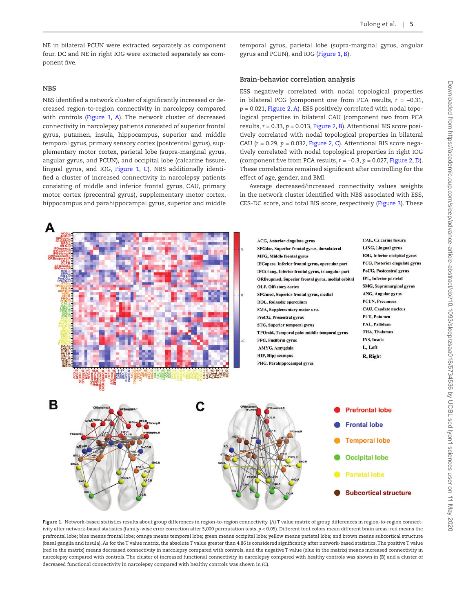NE in bilateral PCUN were extracted separately as component four. DC and NE in right IOG were extracted separately as component five.

#### **NBS**

NBS identified a network cluster of significantly increased or decreased region-to-region connectivity in narcolepsy compared with controls (Figure 1, [A](#page-4-0)). The network cluster of decreased connectivity in narcolepsy patients consisted of superior frontal gyrus, putamen, insula, hippocampus, superior and middle temporal gyrus, primary sensory cortex (postcentral gyrus), supplementary motor cortex, parietal lobe (supra-marginal gyrus, angular gyrus, and PCUN), and occipital lobe (calcarine fissure, lingual gyrus, and IOG, [Figure 1](#page-4-0), [C\)](#page-4-0). NBS additionally identified a cluster of increased connectivity in narcolepsy patients consisting of middle and inferior frontal gyrus, CAU, primary motor cortex (precentral gyrus), supplementary motor cortex, hippocampus and parahippocampal gyrus, superior and middle temporal gyrus, parietal lobe (supra-marginal gyrus, angular gyrus and PCUN), and IOG ([Figure 1,](#page-4-0) [B](#page-4-0)).

#### **Brain-behavior correlation analysis**

ESS negatively correlated with nodal topological properties in bilateral PCG (component one from PCA results,  $r = -0.31$ , *p* = 0.021, [Figure 2](#page-5-0), [A\)](#page-5-0). ESS positively correlated with nodal topological properties in bilateral CAU (component two from PCA results,  $r = 0.33$ ,  $p = 0.013$ , [Figure 2](#page-5-0), [B\)](#page-5-0). Attentional BIS score positively correlated with nodal topological properties in bilateral CAU (*r* = 0.29, *p* = 0.032, [Figure 2](#page-5-0), [C\)](#page-5-0). Attentional BIS score negatively correlated with nodal topological properties in right IOG (component five from PCA results, *r* = −0.3, *p* = 0.027, [Figure 2](#page-5-0), [D\)](#page-5-0). These correlations remained significant after controlling for the effect of age, gender, and BMI.

Average decreased/increased connectivity values weights in the network cluster identified with NBS associated with ESS, CES-DC score, and total BIS score, respectively [\(Figure 3\)](#page-6-0). These



<span id="page-4-0"></span>**Figure 1.** Network-based statistics results about group differences in region-to-region connectivity. (A) T value matrix of group differences in region-to-region connectivity after network-based statistics (family-wise error correction after 5,000 permutation tests, *p* < 0.05). Different font colors mean different brain areas: red means the prefrontal lobe; blue means frontal lobe; orange means temporal lobe; green means occipital lobe; yellow means parietal lobe; and brown means subcortical structure (basal ganglia and insula). As for the T value matrix, the absolute T value greater than 4.86 is considered significantly after network-based statistics. The positive T value (red in the matrix) means decreased connectivity in narcolepsy compared with controls, and the negative T value (blue in the matrix) means increased connectivity in narcolepsy compared with controls. The cluster of increased functional connectivity in narcolepsy compared with healthy controls was shown in (B) and a cluster of decreased functional connectivity in narcolepsy compared with healthy controls was shown in (C).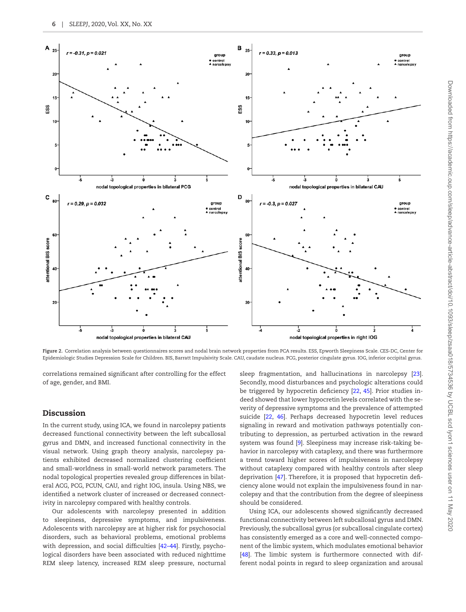

<span id="page-5-0"></span>**Figure 2.** Correlation analysis between questionnaires scores and nodal brain network properties from PCA results. ESS, Epworth Sleepiness Scale. CES-DC, Center for Epidemiologic Studies Depression Scale for Children. BIS, Barratt Impulsivity Scale. CAU, caudate nucleus. PCG, posterior cingulate gyrus. IOG, inferior occipital gyrus.

correlations remained significant after controlling for the effect of age, gender, and BMI.

# Discussion

In the current study, using ICA, we found in narcolepsy patients decreased functional connectivity between the left subcallosal gyrus and DMN, and increased functional connectivity in the visual network. Using graph theory analysis, narcolepsy patients exhibited decreased normalized clustering coefficient and small-worldness in small-world network parameters. The nodal topological properties revealed group differences in bilateral ACG, PCG, PCUN, CAU, and right IOG, insula. Using NBS, we identified a network cluster of increased or decreased connectivity in narcolepsy compared with healthy controls.

Our adolescents with narcolepsy presented in addition to sleepiness, depressive symptoms, and impulsiveness. Adolescents with narcolepsy are at higher risk for psychosocial disorders, such as behavioral problems, emotional problems with depression, and social difficulties [42–44]. Firstly, psychological disorders have been associated with reduced nighttime REM sleep latency, increased REM sleep pressure, nocturnal sleep fragmentation, and hallucinations in narcolepsy [\[23\]](#page-7-19). Secondly, mood disturbances and psychologic alterations could be triggered by hypocretin deficiency [\[22,](#page-7-18) [45\]](#page-8-17). Prior studies indeed showed that lower hypocretin levels correlated with the severity of depressive symptoms and the prevalence of attempted suicide [[22,](#page-7-18) [46\]](#page-8-18). Perhaps decreased hypocretin level reduces signaling in reward and motivation pathways potentially contributing to depression, as perturbed activation in the reward system was found [[9\]](#page-7-10). Sleepiness may increase risk-taking behavior in narcolepsy with cataplexy, and there was furthermore a trend toward higher scores of impulsiveness in narcolepsy without cataplexy compared with healthy controls after sleep deprivation [\[47\]](#page-8-19). Therefore, it is proposed that hypocretin deficiency alone would not explain the impulsiveness found in narcolepsy and that the contribution from the degree of sleepiness should be considered.

Using ICA, our adolescents showed significantly decreased functional connectivity between left subcallosal gyrus and DMN. Previously, the subcallosal gyrus (or subcallosal cingulate cortex) has consistently emerged as a core and well-connected component of the limbic system, which modulates emotional behavior [\[48](#page-8-20)]. The limbic system is furthermore connected with different nodal points in regard to sleep organization and arousal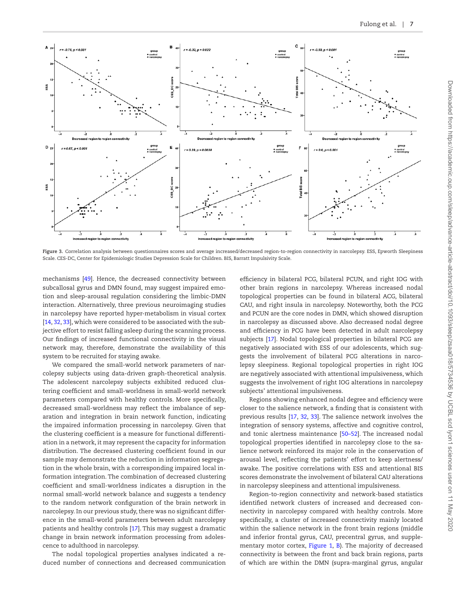

<span id="page-6-0"></span>**Figure 3.** Correlation analysis between questionnaires scores and average increased/decreased region-to-region connectivity in narcolepsy. ESS, Epworth Sleepiness Scale. CES-DC, Center for Epidemiologic Studies Depression Scale for Children. BIS, Barratt Impulsivity Scale.

mechanisms [[49](#page-8-21)]. Hence, the decreased connectivity between subcallosal gyrus and DMN found, may suggest impaired emotion and sleep-arousal regulation considering the limbic-DMN interaction. Alternatively, three previous neuroimaging studies in narcolepsy have reported hyper-metabolism in visual cortex [[14](#page-7-14), [32](#page-8-7), [33\]](#page-8-8), which were considered to be associated with the subjective effort to resist falling asleep during the scanning process. Our findings of increased functional connectivity in the visual network may, therefore, demonstrate the availability of this system to be recruited for staying awake.

We compared the small-world network parameters of narcolepsy subjects using data-driven graph-theoretical analysis. The adolescent narcolepsy subjects exhibited reduced clustering coefficient and small-worldness in small-world network parameters compared with healthy controls. More specifically, decreased small-worldness may reflect the imbalance of separation and integration in brain network function, indicating the impaired information processing in narcolepsy. Given that the clustering coefficient is a measure for functional differentiation in a network, it may represent the capacity for information distribution. The decreased clustering coefficient found in our sample may demonstrate the reduction in information segregation in the whole brain, with a corresponding impaired local information integration. The combination of decreased clustering coefficient and small-worldness indicates a disruption in the normal small-world network balance and suggests a tendency to the random network configuration of the brain network in narcolepsy. In our previous study, there was no significant difference in the small-world parameters between adult narcolepsy patients and healthy controls [\[17](#page-7-16)]. This may suggest a dramatic change in brain network information processing from adolescence to adulthood in narcolepsy.

The nodal topological properties analyses indicated a reduced number of connections and decreased communication

efficiency in bilateral PCG, bilateral PCUN, and right IOG with other brain regions in narcolepsy. Whereas increased nodal topological properties can be found in bilateral ACG, bilateral CAU, and right insula in narcolepsy. Noteworthy, both the PCG and PCUN are the core nodes in DMN, which showed disruption in narcolepsy as discussed above. Also decreased nodal degree and efficiency in PCG have been detected in adult narcolepsy subjects [\[17\]](#page-7-16). Nodal topological properties in bilateral PCG are negatively associated with ESS of our adolescents, which suggests the involvement of bilateral PCG alterations in narcolepsy sleepiness. Regional topological properties in right IOG are negatively associated with attentional impulsiveness, which suggests the involvement of right IOG alterations in narcolepsy subjects' attentional impulsiveness.

Regions showing enhanced nodal degree and efficiency were closer to the salience network, a finding that is consistent with previous results [\[17,](#page-7-16) [32,](#page-8-7) [33\]](#page-8-8). The salience network involves the integration of sensory systems, affective and cognitive control, and tonic alertness maintenance [50–52]. The increased nodal topological properties identified in narcolepsy close to the salience network reinforced its major role in the conservation of arousal level, reflecting the patients' effort to keep alertness/ awake. The positive correlations with ESS and attentional BIS scores demonstrate the involvement of bilateral CAU alterations in narcolepsy sleepiness and attentional impulsiveness.

Region-to-region connectivity and network-based statistics identified network clusters of increased and decreased connectivity in narcolepsy compared with healthy controls. More specifically, a cluster of increased connectivity mainly located within the salience network in the front brain regions (middle and inferior frontal gyrus, CAU, precentral gyrus, and supple-mentary motor cortex, Figure 1, [B\)](#page-4-0). The majority of decreased connectivity is between the front and back brain regions, parts of which are within the DMN (supra-marginal gyrus, angular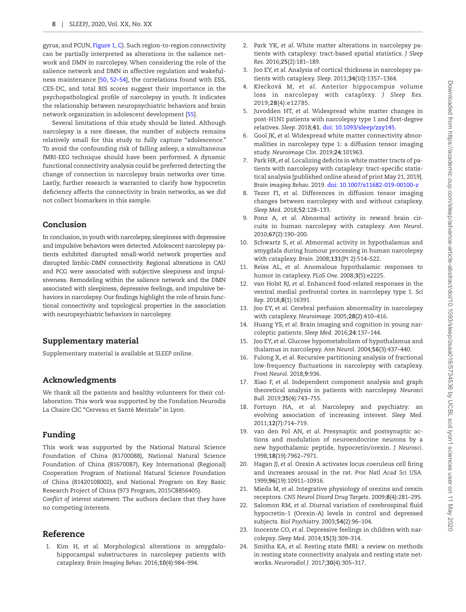gyrus, and PCUN, [Figure 1](#page-4-0), [C\)](#page-4-0). Such region-to-region connectivity can be partially interpreted as alterations in the salience network and DMN in narcolepsy. When considering the role of the salience network and DMN in affective regulation and wakefulness maintenance [[50](#page-8-22), 52–54], the correlations found with ESS, CES-DC, and total BIS scores suggest their importance in the psychopathological profile of narcolepsy in youth. It indicates the relationship between neuropsychiatric behaviors and brain network organization in adolescent development [[55](#page-8-23)].

Several limitations of this study should be listed. Although narcolepsy is a rare disease, the number of subjects remains relatively small for this study to fully capture "adolescence." To avoid the confounding risk of falling asleep, a simultaneous fMRI-EEG technique should have been performed. A dynamic functional connectivity analysis could be preferred detecting the change of connection in narcolepsy brain networks over time. Lastly, further research is warranted to clarify how hypocretin deficiency affects the connectivity in brain networks, as we did not collect biomarkers in this sample.

# Conclusion

In conclusion, in youth with narcolepsy, sleepiness with depressive and impulsive behaviors were detected. Adolescent narcolepsy patients exhibited disrupted small-world network properties and disrupted limbic-DMN connectivity. Regional alterations in CAU and PCG were associated with subjective sleepiness and impulsiveness. Remodeling within the salience network and the DMN associated with sleepiness, depressive feelings, and impulsive behaviors in narcolepsy. Our findings highlight the role of brain functional connectivity and topological properties in the association with neuropsychiatric behaviors in narcolepsy.

# Supplementary material

Supplementary material is available at *SLEEP* online.

# Acknowledgments

We thank all the patients and healthy volunteers for their collaboration. This work was supported by the Fondation Neurodis La Chaire CIC "Cerveau et Santé Mentale" in Lyon.

# Funding

This work was supported by the National Natural Science Foundation of China (81700088), National Natural Science Foundation of China (81670087), Key International (Regional) Cooperation Program of National Natural Science Foundation of China (81420108002), and National Program on Key Basic Research Project of China (973 Program, 2015CB856405).

*Conflict of interest statement*. The authors declare that they have no competing interests.

# Reference

<span id="page-7-5"></span>1. Kim H, *et al*. Morphological alterations in amygdalohippocampal substructures in narcolepsy patients with cataplexy. *Brain Imaging Behav.* 2016;**10**(4):984–994.

- <span id="page-7-0"></span>2. Park YK, *et al*. White matter alterations in narcolepsy patients with cataplexy: tract-based spatial statistics. *J Sleep Res.* 2016;**25**(2):181–189.
- <span id="page-7-6"></span>3. Joo EY, *et al*. Analysis of cortical thickness in narcolepsy patients with cataplexy. *Sleep.* 2011;**34**(10):1357–1364.
- <span id="page-7-7"></span>4. Křečková M, *et al*. Anterior hippocampus volume loss in narcolepsy with cataplexy. *J Sleep Res.* 2019;**28**(4):e12785.
- <span id="page-7-3"></span>5. Juvodden HT, *et al*. Widespread white matter changes in post-H1N1 patients with narcolepsy type 1 and first-degree relatives. *Sleep*. 2018;**41**. [doi: 10.1093/sleep/zsy145.](https://doi.org/doi: 10.1093/sleep/zsy145.)
- <span id="page-7-4"></span>6. Gool JK, *et al*. Widespread white matter connectivity abnormalities in narcolepsy type 1: a diffusion tensor imaging study. *Neuroimage Clin.* 2019;**24**:101963.
- <span id="page-7-1"></span>7. Park HR, *et al*. Localizing deficits in white matter tracts of patients with narcolepsy with cataplexy: tract-specific statistical analysis [published online ahead of print May 21, 2019]. *Brain imaging Behav.* 2019. [doi: 10.1007/s11682-019-00100-z](https://doi.org/doi: 10.1093/sleep/zsy145.)
- <span id="page-7-2"></span>8. Tezer FI, *et al*. Differences in diffusion tensor imaging changes between narcolepsy with and without cataplexy. *Sleep Med.* 2018;**52**:128–133.
- <span id="page-7-10"></span>9. Ponz A, *et al*. Abnormal activity in reward brain circuits in human narcolepsy with cataplexy. *Ann Neurol.* 2010;**67**(2):190–200.
- <span id="page-7-8"></span>10. Schwartz S, *et al*. Abnormal activity in hypothalamus and amygdala during humour processing in human narcolepsy with cataplexy. *Brain.* 2008;**131**(Pt 2):514–522.
- <span id="page-7-9"></span>11. Reiss AL, *et al*. Anomalous hypothalamic responses to humor in cataplexy. *PLoS One.* 2008;**3**(5):e2225.
- <span id="page-7-11"></span>12. van Holst RJ, *et al*. Enhanced food-related responses in the ventral medial prefrontal cortex in narcolepsy type 1. *Sci Rep.* 2018;**8**(1):16391.
- <span id="page-7-12"></span>13. Joo EY, *et al*. Cerebral perfusion abnormality in narcolepsy with cataplexy. *Neuroimage.* 2005;**28**(2):410–416.
- <span id="page-7-14"></span>14. Huang YS, *et al*. Brain imaging and cognition in young narcoleptic patients. *Sleep Med.* 2016;**24**:137–144.
- <span id="page-7-13"></span>15. Joo EY, *et al*. Glucose hypometabolism of hypothalamus and thalamus in narcolepsy. *Ann Neurol.* 2004;**56**(3):437–440.
- <span id="page-7-15"></span>16. Fulong X, *et al*. Recursive partitioning analysis of fractional low-frequency fluctuations in narcolepsy with cataplexy. *Front Neurol.* 2018;**9**:936.
- <span id="page-7-16"></span>17. Xiao F, *et al*. Independent component analysis and graph theoretical analysis in patients with narcolepsy. *Neurosci Bull.* 2019;**35**(4):743–755.
- <span id="page-7-17"></span>18. Fortuyn HA, *et al*. Narcolepsy and psychiatry: an evolving association of increasing interest. *Sleep Med.* 2011;**12**(7):714–719.
- 19. van den Pol AN, *et al*. Presynaptic and postsynaptic actions and modulation of neuroendocrine neurons by a new hypothalamic peptide, hypocretin/orexin. *J Neurosci.* 1998;**18**(19):7962–7971.
- 20. Hagan JJ, *et al*. Orexin A activates locus coeruleus cell firing and increases arousal in the rat. *Proc Natl Acad Sci USA.* 1999;**96**(19):10911–10916.
- 21. Mieda M, *et al*. Integrative physiology of orexins and orexin receptors. *CNS Neurol Disord Drug Targets.* 2009;**8**(4):281–295.
- <span id="page-7-18"></span>22. Salomon RM, *et al*. Diurnal variation of cerebrospinal fluid hypocretin-1 (Orexin-A) levels in control and depressed subjects. *Biol Psychiatry.* 2003;**54**(2):96–104.
- <span id="page-7-19"></span>23. Inocente CO, *et al*. Depressive feelings in children with narcolepsy. *Sleep Med.* 2014;**15**(3):309–314.
- <span id="page-7-20"></span>24. Smitha KA, *et al*. Resting state fMRI: a review on methods in resting state connectivity analysis and resting state networks. *Neuroradiol J.* 2017;**30**(4):305–317.